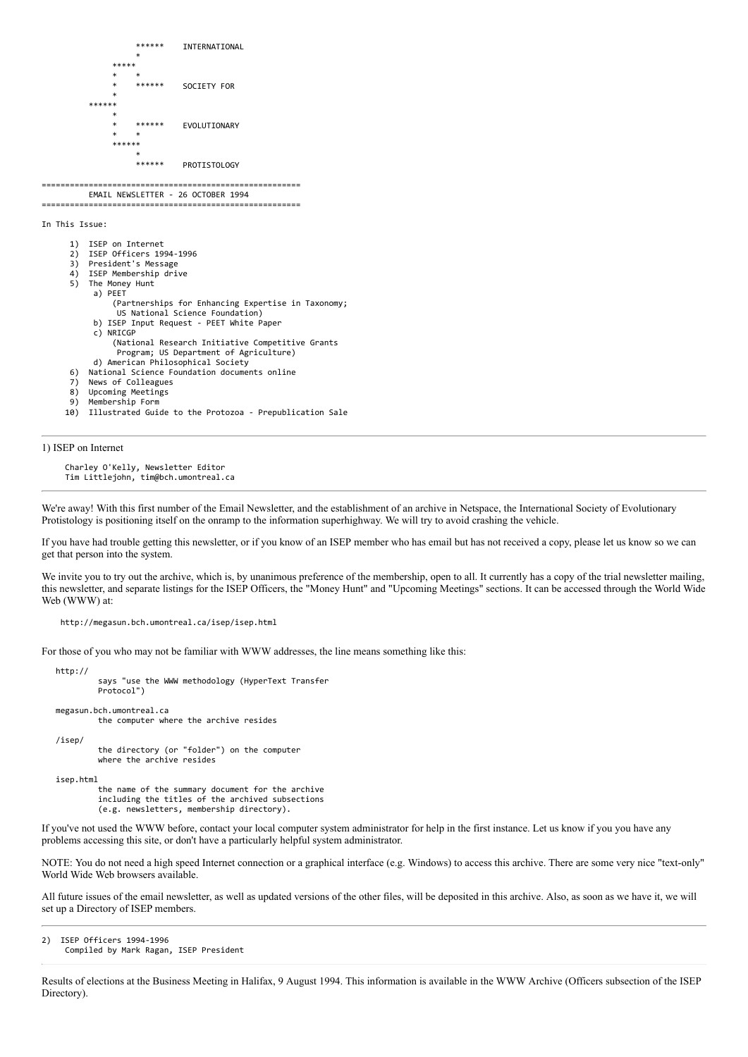```
INTERNATIONAL
 *
*****
* * *
                            SOCIETY FOR
 *
 ******
 *
                            EVOLUTIONARY
* * *
******
 *
                   ****** PROTISTOLOGY
=======================================================
          EMAIL NEWSLETTER - 26 OCTOBER 1994
=======================================================
In This Issue:
      1) ISEP on Internet
      2) ISEP Officers 1994-1996
     3) President's Message<br>4) ISEP Membershin dri
     4) ISEP Membership drive<br>5) The Monev Hunt
        The Money Hunt
           a) PEET
               (Partnerships for Enhancing Expertise in Taxonomy;
               US National Science Foundation)
           b) ISEP Input Request - PEET White Paper
           c) NRICGP
               (National Research Initiative Competitive Grants 
               Program; US Department of Agriculture)
           d) American Philosophical Society
      6) National Science Foundation documents online
         News of Colleagues
      8) Upcoming Meetings
     9) Membership Form
          10) Illustrated Guide to the Protozoa - Prepublication Sale
```
1) ISEP on Internet

 Charley O'Kelly, Newsletter Editor Tim Littlejohn, tim@bch.umontreal.ca

We're away! With this first number of the Email Newsletter, and the establishment of an archive in Netspace, the International Society of Evolutionary Protistology is positioning itself on the onramp to the information superhighway. We will try to avoid crashing the vehicle.

If you have had trouble getting this newsletter, or if you know of an ISEP member who has email but has not received a copy, please let us know so we can get that person into the system.

We invite you to try out the archive, which is, by unanimous preference of the membership, open to all. It currently has a copy of the trial newsletter mailing, this newsletter, and separate listings for the ISEP Officers, the "Money Hunt" and "Upcoming Meetings" sections. It can be accessed through the World Wide Web (WWW) at:

http://megasun.bch.umontreal.ca/isep/isep.html

For those of you who may not be familiar with WWW addresses, the line means something like this:

 http:// says "use the WWW methodology (HyperText Transfer Protocol") megasun.bch.umontreal.ca the computer where the archive resides /isep/ the directory (or "folder") on the computer where the archive resides isep.html the name of the summary document for the archive including the titles of the archived subsections (e.g. newsletters, membership directory).

If you've not used the WWW before, contact your local computer system administrator for help in the first instance. Let us know if you you have any problems accessing this site, or don't have a particularly helpful system administrator.

NOTE: You do not need a high speed Internet connection or a graphical interface (e.g. Windows) to access this archive. There are some very nice "text-only" World Wide Web browsers available.

All future issues of the email newsletter, as well as updated versions of the other files, will be deposited in this archive. Also, as soon as we have it, we will set up a Directory of ISEP members.

2) ISEP Officers 1994-1996 Compiled by Mark Ragan, ISEP President

Results of elections at the Business Meeting in Halifax, 9 August 1994. This information is available in the WWW Archive (Officers subsection of the ISEP Directory).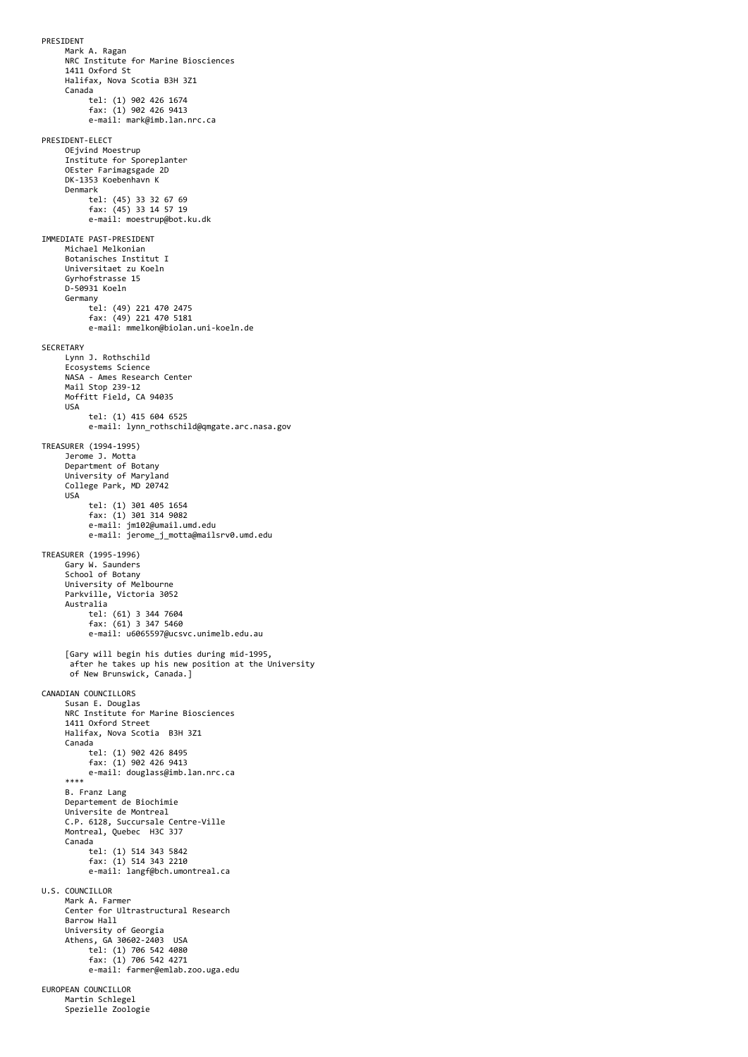PRESIDENT Mark A. Ragan NRC Institute for Marine Biosciences 1411 Oxford St Halifax, Nova Scotia B3H 3Z1 Canada tel: (1) 902 426 1674 fax: (1) 902 426 9413 e-mail: mark@imb.lan.nrc.ca PRESIDENT-ELECT OEjvind Moestrup Institute for Sporeplanter OEster Farimagsgade 2D DK-1353 Koebenhavn K Denmark tel: (45) 33 32 67 69 fax: (45) 33 14 57 19 e-mail: moestrup@bot.ku.dk IMMEDIATE PAST-PRESIDENT Michael Melkonian Botanisches Institut I Universitaet zu Koeln Gyrhofstrasse 15 D-50931 Koeln Germany tel: (49) 221 470 2475 fax: (49) 221 470 5181 e-mail: mmelkon@biolan.uni-koeln.de SECRETARY Lynn J. Rothschild Ecosystems Science NASA - Ames Research Center Mail Stop 239-12 Moffitt Field, CA 94035 USA tel: (1) 415 604 6525 e-mail: lynn rothschild@qmgate.arc.nasa.gov TREASURER (1994-1995) Jerome J. Motta Department of Botany University of Maryland College Park, MD 20742 USA tel: (1) 301 405 1654<br>fax: (1) 301 314 9082<br>e-mail: jm102@umail.umd.edu<br>e-mail: jerome\_j\_motta@mailsrv0.umd.edu TREASURER (1995-1996) Gary W. Saunders School of Botany University of Melbourne Parkville, Victoria 3052 Australia tel: (61) 3 344 7604 fax: (61) 3 347 5460 e-mail: u6065597@ucsvc.unimelb.edu.au [Gary will begin his duties during mid-1995, after he takes up his new position at the University of New Brunswick, Canada.] CANADIAN COUNCILLORS Susan E. Douglas NRC Institute for Marine Biosciences 1411 Oxford Street Halifax, Nova Scotia B3H 3Z1 Canada tel: (1) 902 426 8495 fax: (1) 902 426 9413 e-mail: douglass@imb.lan.nrc.ca \*\*\*\* B. Franz Lang Departement de Biochimie Universite de Montreal C.P. 6128, Succursale Centre-Ville Montreal, Quebec H3C 3J7 Canada tel: (1) 514 343 5842 fax: (1) 514 343 2210 e-mail: langf@bch.umontreal.ca U.S. COUNCILLOR Mark A. Farmer Center for Ultrastructural Research Barrow Hall University of Georgia Athens, GA 30602-2403 USA tel: (1) 706 542 4080 fax: (1) 706 542 4271 e-mail: farmer@emlab.zoo.uga.edu EUROPEAN COUNCILLOR Martin Schlegel Spezielle Zoologie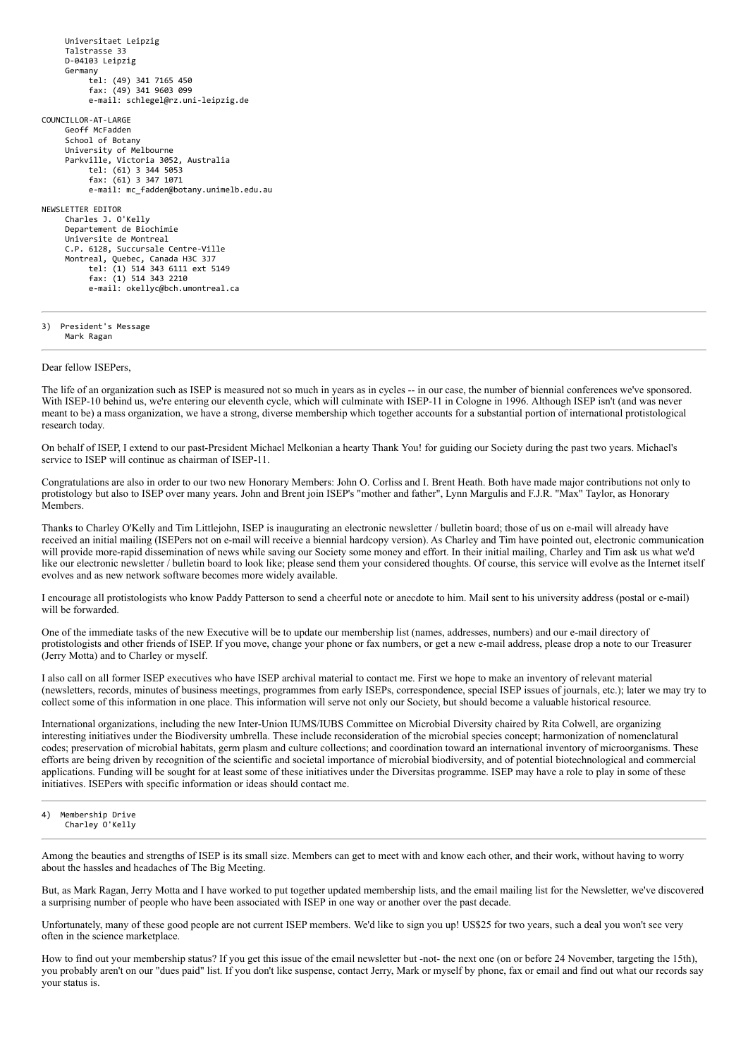Universitaet Leipzig Talstrasse 33 D-04103 Leipzig Germany tel: (49) 341 7165 450 fax: (49) 341 9603 099 e-mail: schlegel@rz.uni-leipzig.de COUNCILLOR-AT-LARGE Geoff McFadden School of Botany University of Melbourne Parkville, Victoria 3052, Australia tel: (61) 3 344 5053 fax: (61) 3 347 1071 e-mail: mc\_fadden@botany.unimelb.edu.au NEWSLETTER EDITOR Charles J. O'Kelly Departement de Biochimie Universite de Montreal C.P. 6128, Succursale Centre-Ville Montreal, Quebec, Canada H3C 3J7 tel: (1) 514 343 6111 ext 5149 fax: (1) 514 343 2210 e-mail: okellyc@bch.umontreal.ca

3) President's Message Mark Ragan

Dear fellow ISEPers,

The life of an organization such as ISEP is measured not so much in years as in cycles -- in our case, the number of biennial conferences we've sponsored. With ISEP-10 behind us, we're entering our eleventh cycle, which will culminate with ISEP-11 in Cologne in 1996. Although ISEP isn't (and was never meant to be) a mass organization, we have a strong, diverse membership which together accounts for a substantial portion of international protistological research today.

On behalf of ISEP, I extend to our past-President Michael Melkonian a hearty Thank You! for guiding our Society during the past two years. Michael's service to ISEP will continue as chairman of ISEP-11.

Congratulations are also in order to our two new Honorary Members: John O. Corliss and I. Brent Heath. Both have made major contributions not only to protistology but also to ISEP over many years. John and Brent join ISEP's "mother and father", Lynn Margulis and F.J.R. "Max" Taylor, as Honorary Members.

Thanks to Charley O'Kelly and Tim Littlejohn, ISEP is inaugurating an electronic newsletter / bulletin board; those of us on e-mail will already have received an initial mailing (ISEPers not on e-mail will receive a biennial hardcopy version). As Charley and Tim have pointed out, electronic communication will provide more-rapid dissemination of news while saving our Society some money and effort. In their initial mailing, Charley and Tim ask us what we'd like our electronic newsletter / bulletin board to look like; please send them your considered thoughts. Of course, this service will evolve as the Internet itself evolves and as new network software becomes more widely available.

I encourage all protistologists who know Paddy Patterson to send a cheerful note or anecdote to him. Mail sent to his university address (postal or e-mail) will be forwarded.

One of the immediate tasks of the new Executive will be to update our membership list (names, addresses, numbers) and our e-mail directory of protistologists and other friends of ISEP. If you move, change your phone or fax numbers, or get a new e-mail address, please drop a note to our Treasurer (Jerry Motta) and to Charley or myself.

I also call on all former ISEP executives who have ISEP archival material to contact me. First we hope to make an inventory of relevant material (newsletters, records, minutes of business meetings, programmes from early ISEPs, correspondence, special ISEP issues of journals, etc.); later we may try to collect some of this information in one place. This information will serve not only our Society, but should become a valuable historical resource.

International organizations, including the new Inter-Union IUMS/IUBS Committee on Microbial Diversity chaired by Rita Colwell, are organizing interesting initiatives under the Biodiversity umbrella. These include reconsideration of the microbial species concept; harmonization of nomenclatural codes; preservation of microbial habitats, germ plasm and culture collections; and coordination toward an international inventory of microorganisms. These efforts are being driven by recognition of the scientific and societal importance of microbial biodiversity, and of potential biotechnological and commercial applications. Funding will be sought for at least some of these initiatives under the Diversitas programme. ISEP may have a role to play in some of these initiatives. ISEPers with specific information or ideas should contact me.

### 4) Membership Drive Charley O'Kelly

Among the beauties and strengths of ISEP is its small size. Members can get to meet with and know each other, and their work, without having to worry about the hassles and headaches of The Big Meeting.

But, as Mark Ragan, Jerry Motta and I have worked to put together updated membership lists, and the email mailing list for the Newsletter, we've discovered a surprising number of people who have been associated with ISEP in one way or another over the past decade.

Unfortunately, many of these good people are not current ISEP members. We'd like to sign you up! US\$25 for two years, such a deal you won't see very often in the science marketplace.

How to find out your membership status? If you get this issue of the email newsletter but -not- the next one (on or before 24 November, targeting the 15th), you probably aren't on our "dues paid" list. If you don't like suspense, contact Jerry, Mark or myself by phone, fax or email and find out what our records say your status is.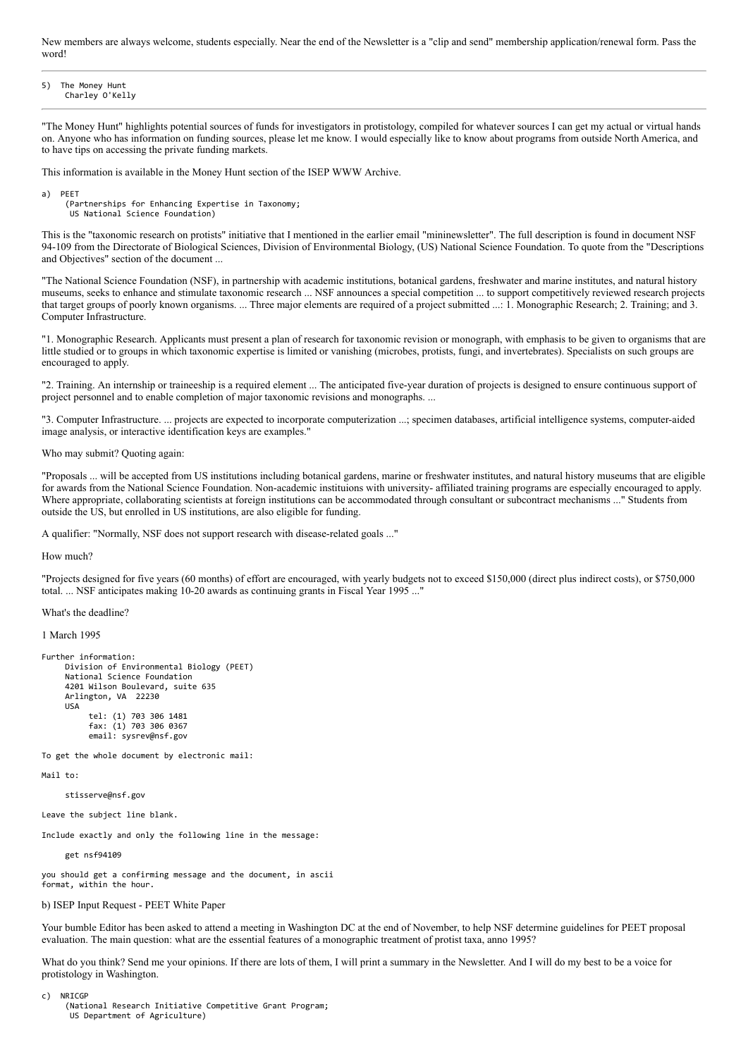New members are always welcome, students especially. Near the end of the Newsletter is a "clip and send" membership application/renewal form. Pass the word!

5) The Money Hunt Charley O'Kelly

"The Money Hunt" highlights potential sources of funds for investigators in protistology, compiled for whatever sources I can get my actual or virtual hands on. Anyone who has information on funding sources, please let me know. I would especially like to know about programs from outside North America, and to have tips on accessing the private funding markets.

This information is available in the Money Hunt section of the ISEP WWW Archive.

a) PEET

 (Partnerships for Enhancing Expertise in Taxonomy; US National Science Foundation)

This is the "taxonomic research on protists" initiative that I mentioned in the earlier email "mininewsletter". The full description is found in document NSF 94-109 from the Directorate of Biological Sciences, Division of Environmental Biology, (US) National Science Foundation. To quote from the "Descriptions and Objectives" section of the document ...

"The National Science Foundation (NSF), in partnership with academic institutions, botanical gardens, freshwater and marine institutes, and natural history museums, seeks to enhance and stimulate taxonomic research ... NSF announces a special competition ... to support competitively reviewed research projects that target groups of poorly known organisms. ... Three major elements are required of a project submitted ...: 1. Monographic Research; 2. Training; and 3. Computer Infrastructure.

"1. Monographic Research. Applicants must present a plan of research for taxonomic revision or monograph, with emphasis to be given to organisms that are little studied or to groups in which taxonomic expertise is limited or vanishing (microbes, protists, fungi, and invertebrates). Specialists on such groups are encouraged to apply.

"2. Training. An internship or traineeship is a required element ... The anticipated five-year duration of projects is designed to ensure continuous support of project personnel and to enable completion of major taxonomic revisions and monographs. ...

"3. Computer Infrastructure. ... projects are expected to incorporate computerization ...; specimen databases, artificial intelligence systems, computer-aided image analysis, or interactive identification keys are examples."

Who may submit? Quoting again:

"Proposals ... will be accepted from US institutions including botanical gardens, marine or freshwater institutes, and natural history museums that are eligible for awards from the National Science Foundation. Non-academic instituions with university- affiliated training programs are especially encouraged to apply. Where appropriate, collaborating scientists at foreign institutions can be accommodated through consultant or subcontract mechanisms ..." Students from outside the US, but enrolled in US institutions, are also eligible for funding.

A qualifier: "Normally, NSF does not support research with disease-related goals ..."

How much?

"Projects designed for five years (60 months) of effort are encouraged, with yearly budgets not to exceed \$150,000 (direct plus indirect costs), or \$750,000 total. ... NSF anticipates making 10-20 awards as continuing grants in Fiscal Year 1995 ..."

What's the deadline?

1 March 1995

```
Further information:
      Division of Environmental Biology (PEET)
      National Science Foundation
      4201 Wilson Boulevard, suite 635
      Arlington, VA 22230
      USA
 tel: (1) 703 306 1481
 fax: (1) 703 306 0367
            email: sysrev@nsf.gov
```
To get the whole document by electronic mail:

Mail to:

stisserve@nsf.gov

Leave the subject line blank.

Include exactly and only the following line in the message:

get nsf94109

you should get a confirming message and the document, in ascii format, within the hour.

# b) ISEP Input Request - PEET White Paper

Your bumble Editor has been asked to attend a meeting in Washington DC at the end of November, to help NSF determine guidelines for PEET proposal evaluation. The main question: what are the essential features of a monographic treatment of protist taxa, anno 1995?

What do you think? Send me your opinions. If there are lots of them, I will print a summary in the Newsletter. And I will do my best to be a voice for protistology in Washington.

c) NRICGP

 (National Research Initiative Competitive Grant Program; US Department of Agriculture)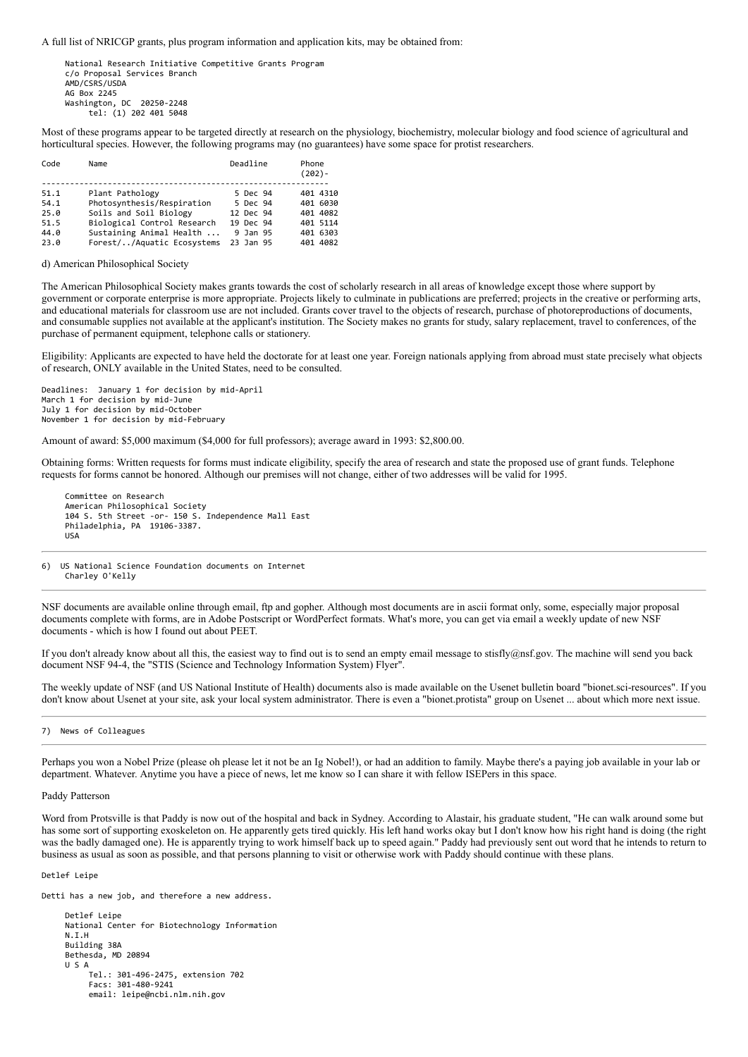A full list of NRICGP grants, plus program information and application kits, may be obtained from:

 National Research Initiative Competitive Grants Program c/o Proposal Services Branch AMD/CSRS/USDA AG Box 2245 Washington, DC 20250-2248 tel: (1) 202 401 5048

Most of these programs appear to be targeted directly at research on the physiology, biochemistry, molecular biology and food science of agricultural and horticultural species. However, the following programs may (no guarantees) have some space for protist researchers.

| Code | Name                        | Deadline  | Phone<br>$(202) -$ |
|------|-----------------------------|-----------|--------------------|
| 51.1 | Plant Pathology             | 5 Dec 94  | 401 4310           |
|      |                             |           |                    |
| 54.1 | Photosynthesis/Respiration  | 5 Dec 94  | 401 6030           |
| 25.0 | Soils and Soil Biology      | 12 Dec 94 | 401 4082           |
| 51.5 | Biological Control Research | 19 Dec 94 | 401 5114           |
| 44.0 | Sustaining Animal Health    | 9 Jan 95  | 401 6303           |
| 23.0 | Forest//Aquatic Ecosystems  | 23 Jan 95 | 401 4082           |

# d) American Philosophical Society

The American Philosophical Society makes grants towards the cost of scholarly research in all areas of knowledge except those where support by government or corporate enterprise is more appropriate. Projects likely to culminate in publications are preferred; projects in the creative or performing arts, and educational materials for classroom use are not included. Grants cover travel to the objects of research, purchase of photoreproductions of documents, and consumable supplies not available at the applicant's institution. The Society makes no grants for study, salary replacement, travel to conferences, of the purchase of permanent equipment, telephone calls or stationery.

Eligibility: Applicants are expected to have held the doctorate for at least one year. Foreign nationals applying from abroad must state precisely what objects of research, ONLY available in the United States, need to be consulted.

Deadlines: January 1 for decision by mid-April March 1 for decision by mid-June July 1 for decision by mid-October November 1 for decision by mid-February

Amount of award: \$5,000 maximum (\$4,000 for full professors); average award in 1993: \$2,800.00.

Obtaining forms: Written requests for forms must indicate eligibility, specify the area of research and state the proposed use of grant funds. Telephone requests for forms cannot be honored. Although our premises will not change, either of two addresses will be valid for 1995.

 Committee on Research American Philosophical Society 104 S. 5th Street -or- 150 S. Independence Mall East Philadelphia, PA 19106-3387. USA

6) US National Science Foundation documents on Internet Charley O'Kelly

NSF documents are available online through email, ftp and gopher. Although most documents are in ascii format only, some, especially major proposal documents complete with forms, are in Adobe Postscript or WordPerfect formats. What's more, you can get via email a weekly update of new NSF documents - which is how I found out about PEET.

If you don't already know about all this, the easiest way to find out is to send an empty email message to stisfly@nsf.gov. The machine will send you back document NSF 94-4, the "STIS (Science and Technology Information System) Flyer".

The weekly update of NSF (and US National Institute of Health) documents also is made available on the Usenet bulletin board "bionet.sci-resources". If you don't know about Usenet at your site, ask your local system administrator. There is even a "bionet.protista" group on Usenet ... about which more next issue.

## 7) News of Colleagues

Perhaps you won a Nobel Prize (please oh please let it not be an Ig Nobel!), or had an addition to family. Maybe there's a paying job available in your lab or department. Whatever. Anytime you have a piece of news, let me know so I can share it with fellow ISEPers in this space.

# Paddy Patterson

Word from Protsville is that Paddy is now out of the hospital and back in Sydney. According to Alastair, his graduate student, "He can walk around some but has some sort of supporting exoskeleton on. He apparently gets tired quickly. His left hand works okay but I don't know how his right hand is doing (the right was the badly damaged one). He is apparently trying to work himself back up to speed again." Paddy had previously sent out word that he intends to return to business as usual as soon as possible, and that persons planning to visit or otherwise work with Paddy should continue with these plans.

## Detlef Leipe

Detti has a new job, and therefore a new address.

 Detlef Leipe National Center for Biotechnology Information N.I.H Building 38A Bethesda, MD 20894 U S A Tel.: 301-496-2475, extension 702 Facs: 301-480-9241 email: leipe@ncbi.nlm.nih.gov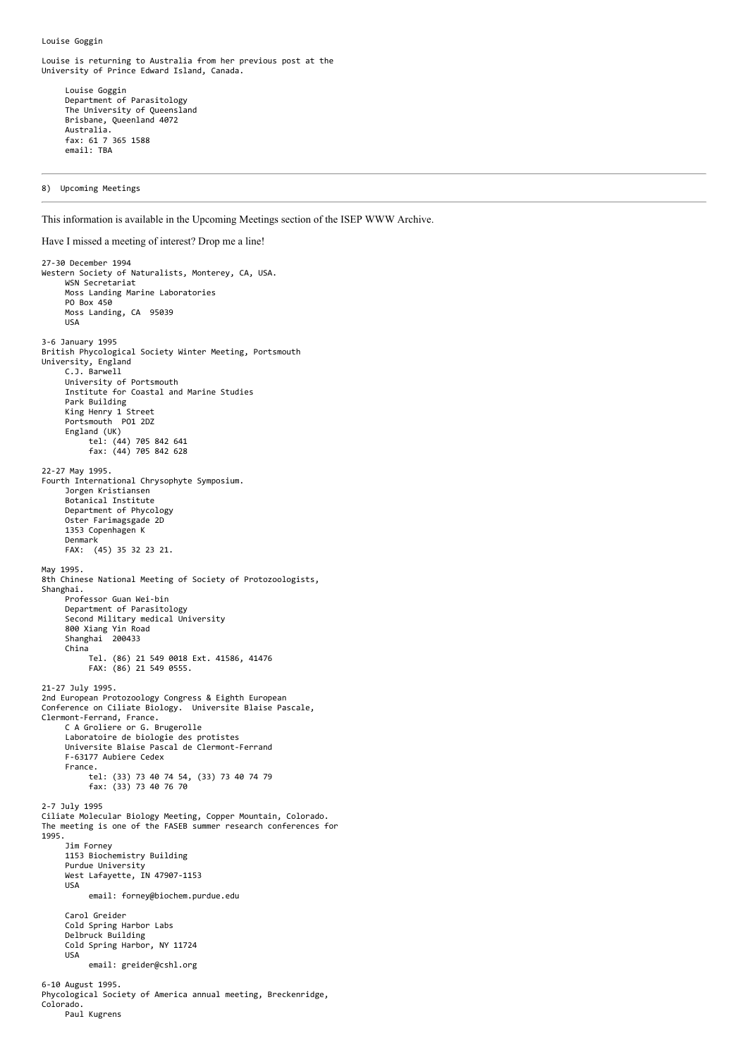Louise Goggin

Louise is returning to Australia from her previous post at the University of Prince Edward Island, Canada.

 Louise Goggin Department of Parasitology The University of Queensland Brisbane, Queenland 4072 Australia. fax: 61 7 365 1588 email: TBA

8) Upcoming Meetings

This information is available in the Upcoming Meetings section of the ISEP WWW Archive.

Have I missed a meeting of interest? Drop me a line! 27-30 December 1994 Western Society of Naturalists, Monterey, CA, USA. WSN Secretariat Moss Landing Marine Laboratories PO Box 450 Moss Landing, CA 95039 USA 3-6 January 1995 British Phycological Society Winter Meeting, Portsmouth University, England C.J. Barwell University of Portsmouth Institute for Coastal and Marine Studies Park Building King Henry 1 Street Portsmouth PO1 2DZ England (UK) tel: (44) 705 842 641 fax: (44) 705 842 628 22-27 May 1995. Fourth International Chrysophyte Symposium. Jorgen Kristiansen Botanical Institute Department of Phycology Oster Farimagsgade 2D 1353 Copenhagen K Denmark FAX: (45) 35 32 23 21. May 1995. 8th Chinese National Meeting of Society of Protozoologists, Shanghai. Professor Guan Wei-bin Department of Parasitology Second Military medical University 800 Xiang Yin Road Shanghai 200433 China Tel. (86) 21 549 0018 Ext. 41586, 41476 FAX: (86) 21 549 0555. 21-27 July 1995. 2nd European Protozoology Congress & Eighth European Conference on Ciliate Biology. Universite Blaise Pascale, Clermont-Ferrand, France. C A Groliere or G. Brugerolle Laboratoire de biologie des protistes Universite Blaise Pascal de Clermont-Ferrand F-63177 Aubiere Cedex France. tel: (33) 73 40 74 54, (33) 73 40 74 79 fax: (33) 73 40 76 70 2-7 July 1995 Ciliate Molecular Biology Meeting, Copper Mountain, Colorado. The meeting is one of the FASEB summer research conferences for 1995. Jim Forney 1153 Biochemistry Building Purdue University West Lafayette, IN 47907-1153 USA email: forney@biochem.purdue.edu Carol Greider Cold Spring Harbor Labs Delbruck Building Cold Spring Harbor, NY 11724 USA email: greider@cshl.org 6-10 August 1995. Phycological Society of America annual meeting, Breckenridge, Colorado. Paul Kugrens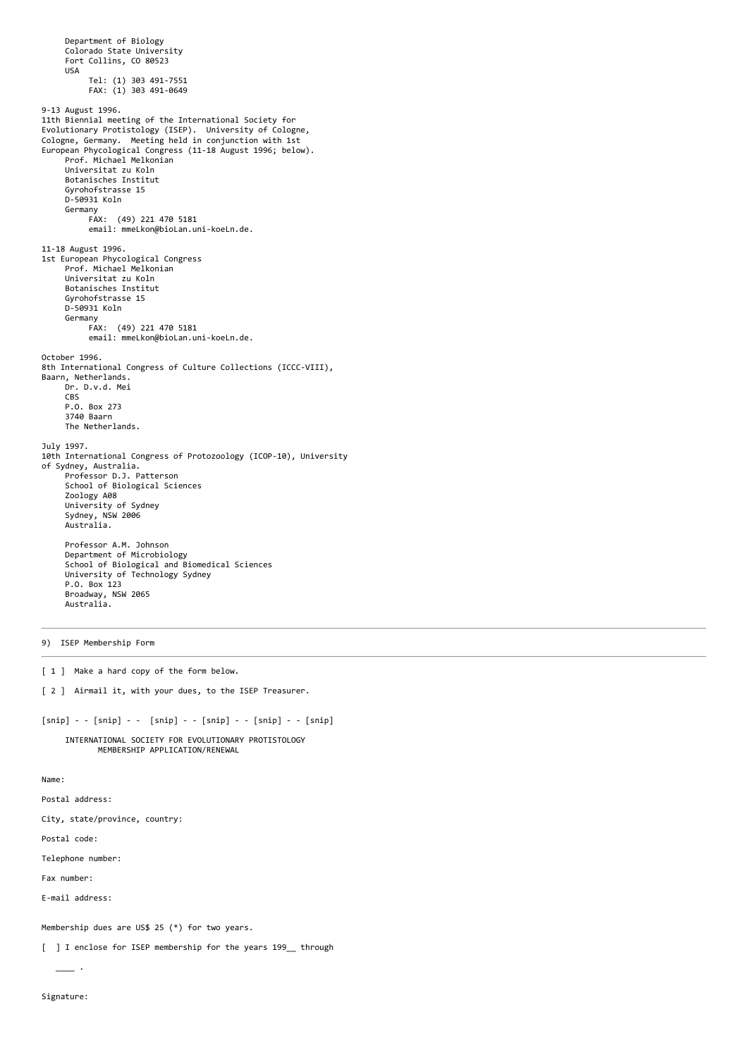```
 Department of Biology
      Colorado State University
      Fort Collins, CO 80523
      USA
            Tel: (1) 303 491-7551
            FAX: (1) 303 491-0649
9-13 August 1996.
11th Biennial meeting of the International Society for
Evolutionary Protistology (ISEP). University of Cologne,
Cologne, Germany. Meeting held in conjunction with 1st
European Phycological Congress (11-18 August 1996; below).
 Prof. Michael Melkonian
      Universitat zu Koln
      Botanisches Institut
      Gyrohofstrasse 15
      D-50931 Koln
 Germany
 FAX: (49) 221 470 5181
            email: mmeLkon@bioLan.uni-koeLn.de.
11-18 August 1996.
1st European Phycological Congress
      Prof. Michael Melkonian
       Universitat zu Koln
      Botanisches Institut
      Gyrohofstrasse 15
      D-50931 Koln
      Germany
            FAX: (49) 221 470 5181
            email: mmeLkon@bioLan.uni-koeLn.de.
October 1996.
8th International Congress of Culture Collections (ICCC-VIII),
Baarn, Netherlands.
      Dr. D.v.d. Mei
      CBS
      P.O. Box 273
      3740 Baarn
      The Netherlands.
July 1997.
10th International Congress of Protozoology (ICOP-10), University
of Sydney, Australia.
 Professor D.J. Patterson
      School of Biological Sciences
      Zoology A08
 University of Sydney
 Sydney, NSW 2006
 Australia.
 Professor A.M. Johnson
 Department of Microbiology
     School of Biological and Biomedical Sciences
      University of Technology Sydney
      P.O. Box 123
      Broadway, NSW 2065
      Australia.
```
9) ISEP Membership Form

[ 1 ] Make a hard copy of the form below.

[ 2 ] Airmail it, with your dues, to the ISEP Treasurer.

[snip] - - [snip] - - [snip] - - [snip] - - [snip] - - [snip]

 INTERNATIONAL SOCIETY FOR EVOLUTIONARY PROTISTOLOGY MEMBERSHIP APPLICATION/RENEWAL

Name:

Postal address:

City, state/province, country:

Postal code:

Telephone number:

Fax number:

E-mail address:

 $\overline{\phantom{a}}$ .

Membership dues are US\$ 25 (\*) for two years.

[ ] I enclose for ISEP membership for the years 199\_ through

Signature: